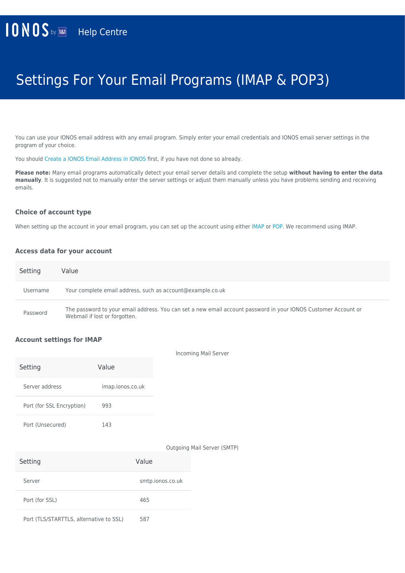# Settings For Your Email Programs (IMAP & POP3)

You can use your IONOS email address with any email program. Simply enter your email credentials and IONOS email server settings in the program of your choice.

You should [Create a IONOS Email Address in IONOS](https://www.ionos.co.uk/help/email/setting-up-mail-basic/creating-a-11-ionos-email-address/) first, if you have not done so already.

**Please note:** Many email programs automatically detect your email server details and complete the setup **without having to enter the data manually**. It is suggested not to manually enter the server settings or adjust them manually unless you have problems sending and receiving emails.

#### **Choice of account type**

When setting up the account in your email program, you can set up the account using either [IMAP](https://www.ionos.co.uk/help/email/microsoftr-outlook/what-is-imap/) or [POP.](https://www.ionos.co.uk/help/email/microsoftr-outlook/what-is-pop3/) We recommend using IMAP.

#### **Access data for your account**

| Setting  | Value                                                                                                                                           |
|----------|-------------------------------------------------------------------------------------------------------------------------------------------------|
| Username | Your complete email address, such as account@example.co.uk                                                                                      |
| Password | The password to your email address. You can set a new email account password in your IONOS Customer Account or<br>Webmail if lost or forgotten. |

#### **Account settings for IMAP**

|                           |                  | <b>Incoming Mail Server</b> |
|---------------------------|------------------|-----------------------------|
| Setting                   | Value            |                             |
| Server address            | imap.ionos.co.uk |                             |
| Port (for SSL Encryption) | 993              |                             |
| Port (Unsecured)          | 143              |                             |

Outgoing Mail Server (SMTP)

| Setting                                 | Value            |
|-----------------------------------------|------------------|
| Server                                  | smtp.ionos.co.uk |
| Port (for SSL)                          | 465              |
| Port (TLS/STARTTLS, alternative to SSL) | 587              |